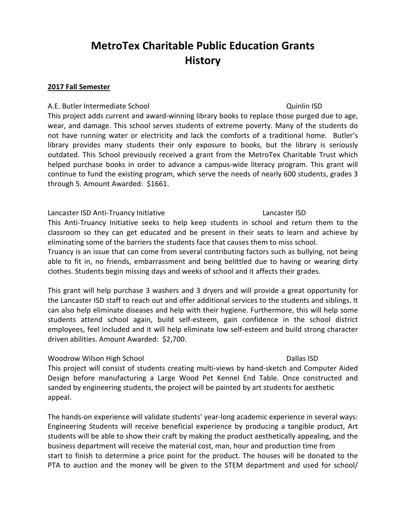# **MetroTex Charitable Public Education Grants History**

#### **2017 Fall Semester**

#### A.E. Butler Intermediate School and Cuinlin ISD Quinlin ISD

This project adds current and award-winning library books to replace those purged due to age, wear, and damage. This school serves students of extreme poverty. Many of the students do not have running water or electricity and lack the comforts of a traditional home. Butler's library provides many students their only exposure to books, but the library is seriously outdated. This School previously received a grant from the MetroTex Charitable Trust which helped purchase books in order to advance a campus-wide literacy program. This grant will continue to fund the existing program, which serve the needs of nearly 600 students, grades 3 through 5. Amount Awarded: \$1661.

#### Lancaster ISD Anti-Truancy Initiative Lancaster ISD

This Anti-Truancy Initiative seeks to help keep students in school and return them to the classroom so they can get educated and be present in their seats to learn and achieve by eliminating some of the barriers the students face that causes them to miss school.

Truancy is an issue that can come from several contributing factors such as bullying, not being able to fit in, no friends, embarrassment and being belittled due to having or wearing dirty clothes. Students begin missing days and weeks of school and it affects their grades.

This grant will help purchase 3 washers and 3 dryers and will provide a great opportunity for the Lancaster ISD staff to reach out and offer additional services to the students and siblings. It can also help eliminate diseases and help with their hygiene. Furthermore, this will help some students attend school again, build self-esteem, gain confidence in the school district employees, feel included and it will help eliminate low self-esteem and build strong character driven abilities. Amount Awarded: \$2,700.

### Woodrow Wilson High School **Dailas ISD**

This project will consist of students creating multi-views by hand-sketch and Computer Aided Design before manufacturing a Large Wood Pet Kennel End Table. Once constructed and sanded by engineering students, the project will be painted by art students for aesthetic appeal.

The hands-on experience will validate students' year-long academic experience in several ways: Engineering Students will receive beneficial experience by producing a tangible product, Art students will be able to show their craft by making the product aesthetically appealing, and the business department will receive the material cost, man, hour and production time from start to finish to determine a price point for the product. The houses will be donated to the PTA to auction and the money will be given to the STEM department and used for school/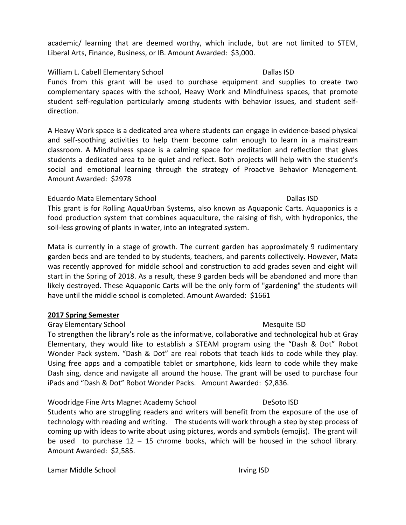academic/ learning that are deemed worthy, which include, but are not limited to STEM, Liberal Arts, Finance, Business, or IB. Amount Awarded: \$3,000.

#### William L. Cabell Elementary School Dallas ISD

Funds from this grant will be used to purchase equipment and supplies to create two complementary spaces with the school, Heavy Work and Mindfulness spaces, that promote student self-regulation particularly among students with behavior issues, and student selfdirection.

A Heavy Work space is a dedicated area where students can engage in evidence-based physical and self-soothing activities to help them become calm enough to learn in a mainstream classroom. A Mindfulness space is a calming space for meditation and reflection that gives students a dedicated area to be quiet and reflect. Both projects will help with the student's social and emotional learning through the strategy of Proactive Behavior Management. Amount Awarded: \$2978

### Eduardo Mata Elementary School **Dallas ISD**

This grant is for Rolling AquaUrban Systems, also known as Aquaponic Carts. Aquaponics is a food production system that combines aquaculture, the raising of fish, with hydroponics, the soil-less growing of plants in water, into an integrated system.

Mata is currently in a stage of growth. The current garden has approximately 9 rudimentary garden beds and are tended to by students, teachers, and parents collectively. However, Mata was recently approved for middle school and construction to add grades seven and eight will start in the Spring of 2018. As a result, these 9 garden beds will be abandoned and more than likely destroyed. These Aquaponic Carts will be the only form of "gardening" the students will have until the middle school is completed. Amount Awarded: \$1661

### **2017 Spring Semester**

### Gray Elementary School and The Control of the Mesquite ISD Mesquite ISD

To strengthen the library's role as the informative, collaborative and technological hub at Gray Elementary, they would like to establish a STEAM program using the "Dash & Dot" Robot Wonder Pack system. "Dash & Dot" are real robots that teach kids to code while they play. Using free apps and a compatible tablet or smartphone, kids learn to code while they make Dash sing, dance and navigate all around the house. The grant will be used to purchase four iPads and "Dash & Dot" Robot Wonder Packs. Amount Awarded: \$2,836.

Woodridge Fine Arts Magnet Academy School **DeSoto ISD** 

Students who are struggling readers and writers will benefit from the exposure of the use of technology with reading and writing. The students will work through a step by step process of coming up with ideas to write about using pictures, words and symbols (emojis). The grant will be used to purchase  $12 - 15$  chrome books, which will be housed in the school library. Amount Awarded: \$2,585.

Lamar Middle School **Irving ISD**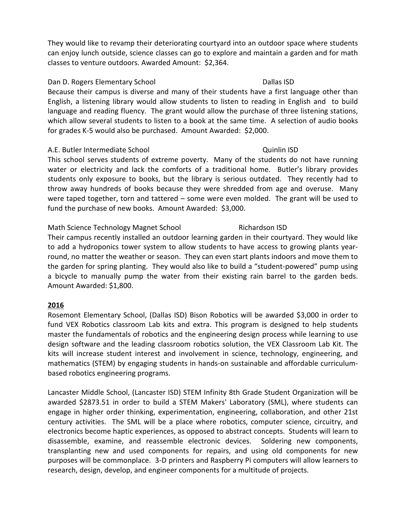They would like to revamp their deteriorating courtyard into an outdoor space where students can enjoy lunch outside, science classes can go to explore and maintain a garden and for math classes to venture outdoors. Awarded Amount: \$2,364.

#### Dan D. Rogers Elementary School **Dallas ISD**

Because their campus is diverse and many of their students have a first language other than English, a listening library would allow students to listen to reading in English and to build language and reading fluency. The grant would allow the purchase of three listening stations, which allow several students to listen to a book at the same time. A selection of audio books for grades K-5 would also be purchased. Amount Awarded: \$2,000.

#### A.E. Butler Intermediate School Quinlin ISD

This school serves students of extreme poverty. Many of the students do not have running water or electricity and lack the comforts of a traditional home. Butler's library provides students only exposure to books, but the library is serious outdated. They recently had to throw away hundreds of books because they were shredded from age and overuse. Many were taped together, torn and tattered – some were even molded. The grant will be used to fund the purchase of new books. Amount Awarded: \$3,000.

### Math Science Technology Magnet School Richardson ISD

Their campus recently installed an outdoor learning garden in their courtyard. They would like to add a hydroponics tower system to allow students to have access to growing plants yearround, no matter the weather or season. They can even start plants indoors and move them to the garden for spring planting. They would also like to build a "student-powered" pump using a bicycle to manually pump the water from their existing rain barrel to the garden beds. Amount Awarded: \$1,800.

### **2016**

Rosemont Elementary School, (Dallas ISD) Bison Robotics will be awarded \$3,000 in order to fund VEX Robotics classroom Lab kits and extra. This program is designed to help students master the fundamentals of robotics and the engineering design process while learning to use design software and the leading classroom robotics solution, the VEX Classroom Lab Kit. The kits will increase student interest and involvement in science, technology, engineering, and mathematics (STEM) by engaging students in hands-on sustainable and affordable curriculumbased robotics engineering programs.

Lancaster Middle School, (Lancaster ISD) STEM Infinity 8th Grade Student Organization will be awarded \$2873.51 in order to build a STEM Makers' Laboratory (SML), where students can engage in higher order thinking, experimentation, engineering, collaboration, and other 21st century activities. The SML will be a place where robotics, computer science, circuitry, and electronics become haptic experiences, as opposed to abstract concepts. Students will learn to disassemble, examine, and reassemble electronic devices. Soldering new components, transplanting new and used components for repairs, and using old components for new purposes will be commonplace. 3-D printers and Raspberry Pi computers will allow learners to research, design, develop, and engineer components for a multitude of projects.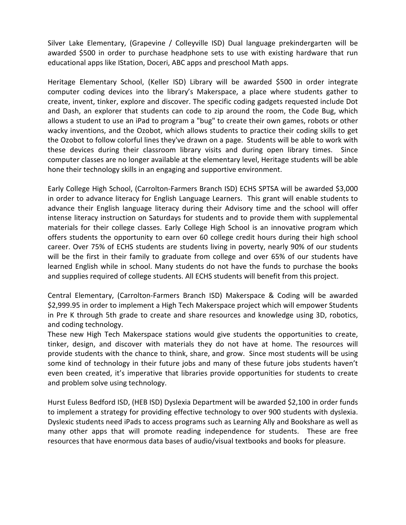Silver Lake Elementary, (Grapevine / Colleyville ISD) Dual language prekindergarten will be awarded \$500 in order to purchase headphone sets to use with existing hardware that run educational apps like IStation, Doceri, ABC apps and preschool Math apps.

Heritage Elementary School, (Keller ISD) Library will be awarded \$500 in order integrate computer coding devices into the library's Makerspace, a place where students gather to create, invent, tinker, explore and discover. The specific coding gadgets requested include Dot and Dash, an explorer that students can code to zip around the room, the Code Bug, which allows a student to use an iPad to program a "bug" to create their own games, robots or other wacky inventions, and the Ozobot, which allows students to practice their coding skills to get the Ozobot to follow colorful lines they've drawn on a page. Students will be able to work with these devices during their classroom library visits and during open library times. Since computer classes are no longer available at the elementary level, Heritage students will be able hone their technology skills in an engaging and supportive environment.

Early College High School, (Carrolton-Farmers Branch ISD) ECHS SPTSA will be awarded \$3,000 in order to advance literacy for English Language Learners. This grant will enable students to advance their English language literacy during their Advisory time and the school will offer intense literacy instruction on Saturdays for students and to provide them with supplemental materials for their college classes. Early College High School is an innovative program which offers students the opportunity to earn over 60 college credit hours during their high school career. Over 75% of ECHS students are students living in poverty, nearly 90% of our students will be the first in their family to graduate from college and over 65% of our students have learned English while in school. Many students do not have the funds to purchase the books and supplies required of college students. All ECHS students will benefit from this project.

Central Elementary, (Carrolton-Farmers Branch ISD) Makerspace & Coding will be awarded \$2,999.95 in order to implement a High Tech Makerspace project which will empower Students in Pre K through 5th grade to create and share resources and knowledge using 3D, robotics, and coding technology.

These new High Tech Makerspace stations would give students the opportunities to create, tinker, design, and discover with materials they do not have at home. The resources will provide students with the chance to think, share, and grow. Since most students will be using some kind of technology in their future jobs and many of these future jobs students haven't even been created, it's imperative that libraries provide opportunities for students to create and problem solve using technology.

Hurst Euless Bedford ISD, (HEB ISD) Dyslexia Department will be awarded \$2,100 in order funds to implement a strategy for providing effective technology to over 900 students with dyslexia. Dyslexic students need iPads to access programs such as Learning Ally and Bookshare as well as many other apps that will promote reading independence for students. These are free resources that have enormous data bases of audio/visual textbooks and books for pleasure.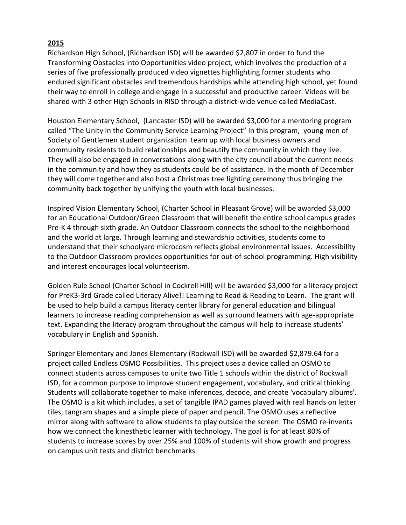Richardson High School, (Richardson ISD) will be awarded \$2,807 in order to fund the Transforming Obstacles into Opportunities video project, which involves the production of a series of five professionally produced video vignettes highlighting former students who endured significant obstacles and tremendous hardships while attending high school, yet found their way to enroll in college and engage in a successful and productive career. Videos will be shared with 3 other High Schools in RISD through a district-wide venue called MediaCast.

Houston Elementary School, (Lancaster ISD) will be awarded \$3,000 for a mentoring program called "The Unity in the Community Service Learning Project" In this program, young men of Society of Gentlemen student organization team up with local business owners and community residents to build relationships and beautify the community in which they live. They will also be engaged in conversations along with the city council about the current needs in the community and how they as students could be of assistance. In the month of December they will come together and also host a Christmas tree lighting ceremony thus bringing the community back together by unifying the youth with local businesses.

Inspired Vision Elementary School, (Charter School in Pleasant Grove) will be awarded \$3,000 for an Educational Outdoor/Green Classroom that will benefit the entire school campus grades Pre-K 4 through sixth grade. An Outdoor Classroom connects the school to the neighborhood and the world at large. Through learning and stewardship activities, students come to understand that their schoolyard microcosm reflects global environmental issues. Accessibility to the Outdoor Classroom provides opportunities for out-of-school programming. High visibility and interest encourages local volunteerism.

Golden Rule School (Charter School in Cockrell Hill) will be awarded \$3,000 for a literacy project for PreK3-3rd Grade called Literacy Alive!! Learning to Read & Reading to Learn. The grant will be used to help build a campus literacy center library for general education and bilingual learners to increase reading comprehension as well as surround learners with age-appropriate text. Expanding the literacy program throughout the campus will help to increase students' vocabulary in English and Spanish.

Springer Elementary and Jones Elementary (Rockwall ISD) will be awarded \$2,879.64 for a project called Endless OSMO Possibilities. This project uses a device called an OSMO to connect students across campuses to unite two Title 1 schools within the district of Rockwall ISD, for a common purpose to improve student engagement, vocabulary, and critical thinking. Students will collaborate together to make inferences, decode, and create 'vocabulary albums'. The OSMO is a kit which includes, a set of tangible IPAD games played with real hands on letter tiles, tangram shapes and a simple piece of paper and pencil. The OSMO uses a reflective mirror along with software to allow students to play outside the screen. The OSMO re-invents how we connect the kinesthetic learner with technology. The goal is for at least 80% of students to increase scores by over 25% and 100% of students will show growth and progress on campus unit tests and district benchmarks.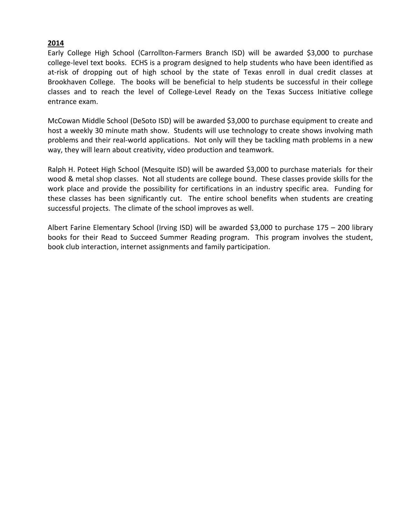Early College High School (Carrollton-Farmers Branch ISD) will be awarded \$3,000 to purchase college-level text books. ECHS is a program designed to help students who have been identified as at-risk of dropping out of high school by the state of Texas enroll in dual credit classes at Brookhaven College. The books will be beneficial to help students be successful in their college classes and to reach the level of College-Level Ready on the Texas Success Initiative college entrance exam.

McCowan Middle School (DeSoto ISD) will be awarded \$3,000 to purchase equipment to create and host a weekly 30 minute math show. Students will use technology to create shows involving math problems and their real-world applications. Not only will they be tackling math problems in a new way, they will learn about creativity, video production and teamwork.

Ralph H. Poteet High School (Mesquite ISD) will be awarded \$3,000 to purchase materials for their wood & metal shop classes. Not all students are college bound. These classes provide skills for the work place and provide the possibility for certifications in an industry specific area. Funding for these classes has been significantly cut. The entire school benefits when students are creating successful projects. The climate of the school improves as well.

Albert Farine Elementary School (Irving ISD) will be awarded \$3,000 to purchase 175 – 200 library books for their Read to Succeed Summer Reading program. This program involves the student, book club interaction, internet assignments and family participation.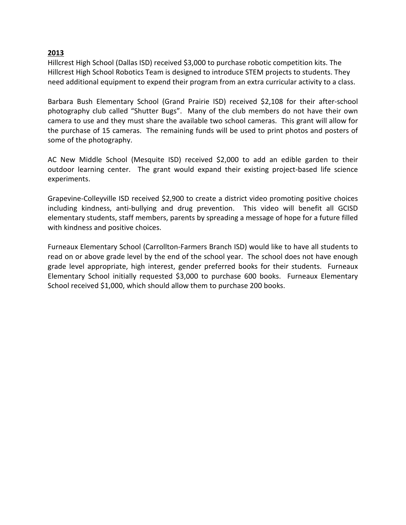Hillcrest High School (Dallas ISD) received \$3,000 to purchase robotic competition kits. The Hillcrest High School Robotics Team is designed to introduce STEM projects to students. They need additional equipment to expend their program from an extra curricular activity to a class.

Barbara Bush Elementary School (Grand Prairie ISD) received \$2,108 for their after-school photography club called "Shutter Bugs". Many of the club members do not have their own camera to use and they must share the available two school cameras. This grant will allow for the purchase of 15 cameras. The remaining funds will be used to print photos and posters of some of the photography.

AC New Middle School (Mesquite ISD) received \$2,000 to add an edible garden to their outdoor learning center. The grant would expand their existing project-based life science experiments.

Grapevine-Colleyville ISD received \$2,900 to create a district video promoting positive choices including kindness, anti-bullying and drug prevention. This video will benefit all GCISD elementary students, staff members, parents by spreading a message of hope for a future filled with kindness and positive choices.

Furneaux Elementary School (Carrollton-Farmers Branch ISD) would like to have all students to read on or above grade level by the end of the school year. The school does not have enough grade level appropriate, high interest, gender preferred books for their students. Furneaux Elementary School initially requested \$3,000 to purchase 600 books. Furneaux Elementary School received \$1,000, which should allow them to purchase 200 books.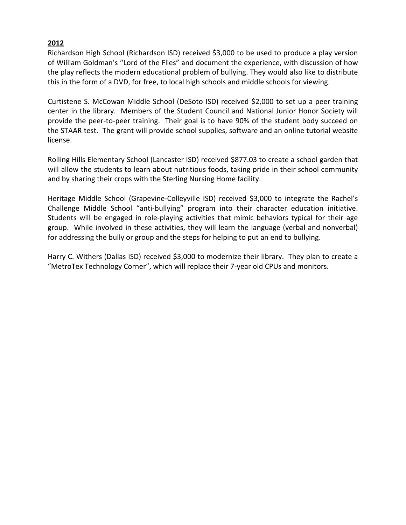Richardson High School (Richardson ISD) received \$3,000 to be used to produce a play version of William Goldman's "Lord of the Flies" and document the experience, with discussion of how the play reflects the modern educational problem of bullying. They would also like to distribute this in the form of a DVD, for free, to local high schools and middle schools for viewing.

Curtistene S. McCowan Middle School (DeSoto ISD) received \$2,000 to set up a peer training center in the library. Members of the Student Council and National Junior Honor Society will provide the peer-to-peer training. Their goal is to have 90% of the student body succeed on the STAAR test. The grant will provide school supplies, software and an online tutorial website license.

Rolling Hills Elementary School (Lancaster ISD) received \$877.03 to create a school garden that will allow the students to learn about nutritious foods, taking pride in their school community and by sharing their crops with the Sterling Nursing Home facility.

Heritage Middle School (Grapevine-Colleyville ISD) received \$3,000 to integrate the Rachel's Challenge Middle School "anti-bullying" program into their character education initiative. Students will be engaged in role-playing activities that mimic behaviors typical for their age group. While involved in these activities, they will learn the language (verbal and nonverbal) for addressing the bully or group and the steps for helping to put an end to bullying.

Harry C. Withers (Dallas ISD) received \$3,000 to modernize their library. They plan to create a "MetroTex Technology Corner", which will replace their 7-year old CPUs and monitors.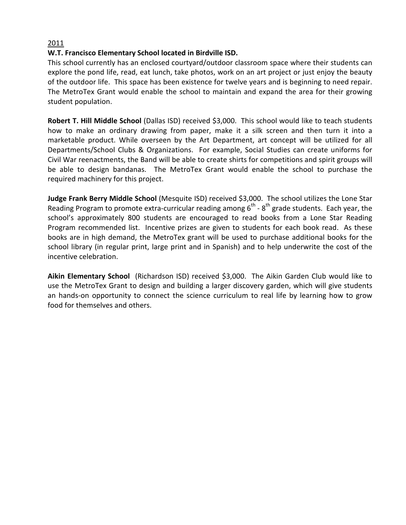### **W.T. Francisco Elementary School located in Birdville ISD.**

This school currently has an enclosed courtyard/outdoor classroom space where their students can explore the pond life, read, eat lunch, take photos, work on an art project or just enjoy the beauty of the outdoor life. This space has been existence for twelve years and is beginning to need repair. The MetroTex Grant would enable the school to maintain and expand the area for their growing student population.

**Robert T. Hill Middle School** (Dallas ISD) received \$3,000. This school would like to teach students how to make an ordinary drawing from paper, make it a silk screen and then turn it into a marketable product. While overseen by the Art Department, art concept will be utilized for all Departments/School Clubs & Organizations. For example, Social Studies can create uniforms for Civil War reenactments, the Band will be able to create shirts for competitions and spirit groups will be able to design bandanas. The MetroTex Grant would enable the school to purchase the required machinery for this project.

**Judge Frank Berry Middle School** (Mesquite ISD) received \$3,000. The school utilizes the Lone Star Reading Program to promote extra-curricular reading among  $6<sup>th</sup>$  -  $8<sup>th</sup>$  grade students. Each year, the school's approximately 800 students are encouraged to read books from a Lone Star Reading Program recommended list. Incentive prizes are given to students for each book read. As these books are in high demand, the MetroTex grant will be used to purchase additional books for the school library (in regular print, large print and in Spanish) and to help underwrite the cost of the incentive celebration.

**Aikin Elementary School** (Richardson ISD) received \$3,000. The Aikin Garden Club would like to use the MetroTex Grant to design and building a larger discovery garden, which will give students an hands-on opportunity to connect the science curriculum to real life by learning how to grow food for themselves and others.